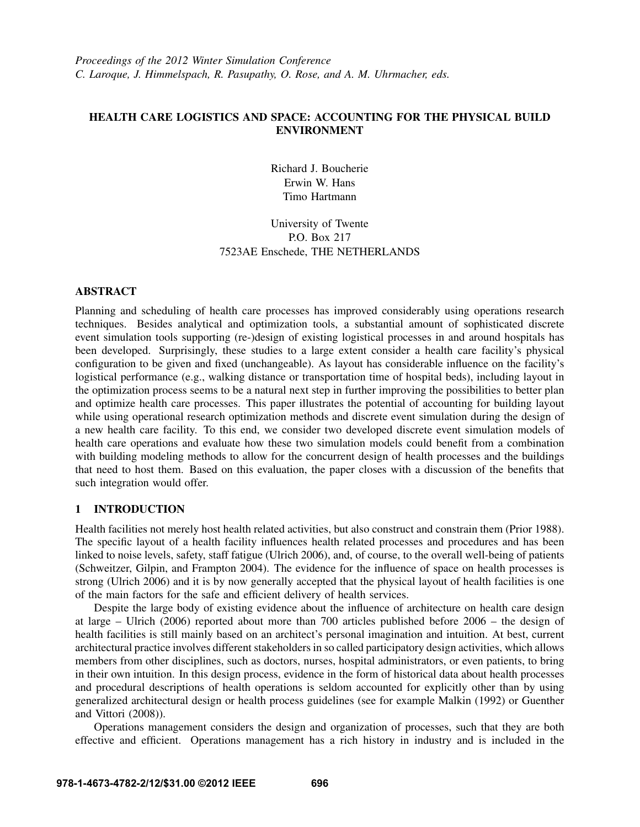# HEALTH CARE LOGISTICS AND SPACE: ACCOUNTING FOR THE PHYSICAL BUILD ENVIRONMENT

Richard J. Boucherie Erwin W. Hans Timo Hartmann

# University of Twente P.O. Box 217 7523AE Enschede, THE NETHERLANDS

## ABSTRACT

Planning and scheduling of health care processes has improved considerably using operations research techniques. Besides analytical and optimization tools, a substantial amount of sophisticated discrete event simulation tools supporting (re-)design of existing logistical processes in and around hospitals has been developed. Surprisingly, these studies to a large extent consider a health care facility's physical configuration to be given and fixed (unchangeable). As layout has considerable influence on the facility's logistical performance (e.g., walking distance or transportation time of hospital beds), including layout in the optimization process seems to be a natural next step in further improving the possibilities to better plan and optimize health care processes. This paper illustrates the potential of accounting for building layout while using operational research optimization methods and discrete event simulation during the design of a new health care facility. To this end, we consider two developed discrete event simulation models of health care operations and evaluate how these two simulation models could benefit from a combination with building modeling methods to allow for the concurrent design of health processes and the buildings that need to host them. Based on this evaluation, the paper closes with a discussion of the benefits that such integration would offer.

### 1 INTRODUCTION

Health facilities not merely host health related activities, but also construct and constrain them (Prior 1988). The specific layout of a health facility influences health related processes and procedures and has been linked to noise levels, safety, staff fatigue (Ulrich 2006), and, of course, to the overall well-being of patients (Schweitzer, Gilpin, and Frampton 2004). The evidence for the influence of space on health processes is strong (Ulrich 2006) and it is by now generally accepted that the physical layout of health facilities is one of the main factors for the safe and efficient delivery of health services.

Despite the large body of existing evidence about the influence of architecture on health care design at large – Ulrich (2006) reported about more than 700 articles published before 2006 – the design of health facilities is still mainly based on an architect's personal imagination and intuition. At best, current architectural practice involves different stakeholders in so called participatory design activities, which allows members from other disciplines, such as doctors, nurses, hospital administrators, or even patients, to bring in their own intuition. In this design process, evidence in the form of historical data about health processes and procedural descriptions of health operations is seldom accounted for explicitly other than by using generalized architectural design or health process guidelines (see for example Malkin (1992) or Guenther and Vittori (2008)).

Operations management considers the design and organization of processes, such that they are both effective and efficient. Operations management has a rich history in industry and is included in the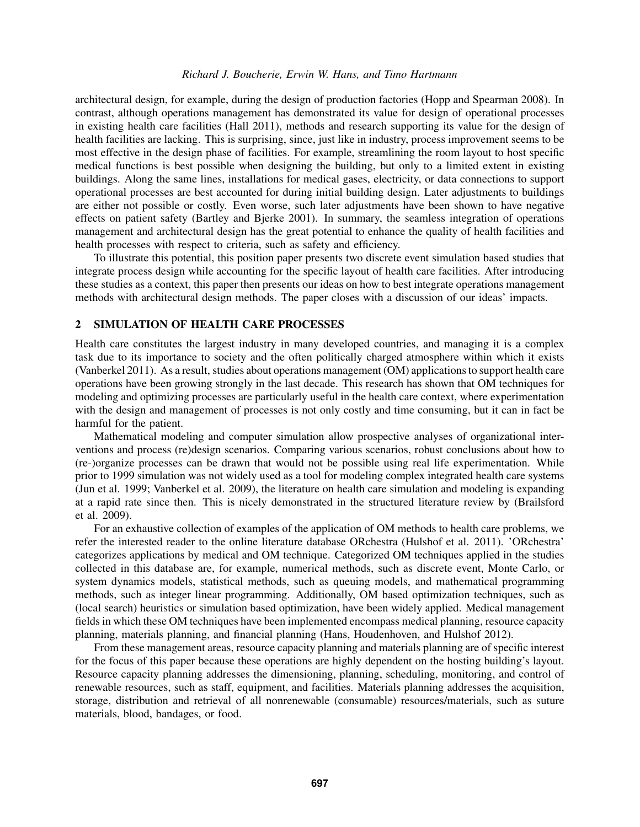architectural design, for example, during the design of production factories (Hopp and Spearman 2008). In contrast, although operations management has demonstrated its value for design of operational processes in existing health care facilities (Hall 2011), methods and research supporting its value for the design of health facilities are lacking. This is surprising, since, just like in industry, process improvement seems to be most effective in the design phase of facilities. For example, streamlining the room layout to host specific medical functions is best possible when designing the building, but only to a limited extent in existing buildings. Along the same lines, installations for medical gases, electricity, or data connections to support operational processes are best accounted for during initial building design. Later adjustments to buildings are either not possible or costly. Even worse, such later adjustments have been shown to have negative effects on patient safety (Bartley and Bjerke 2001). In summary, the seamless integration of operations management and architectural design has the great potential to enhance the quality of health facilities and health processes with respect to criteria, such as safety and efficiency.

To illustrate this potential, this position paper presents two discrete event simulation based studies that integrate process design while accounting for the specific layout of health care facilities. After introducing these studies as a context, this paper then presents our ideas on how to best integrate operations management methods with architectural design methods. The paper closes with a discussion of our ideas' impacts.

## 2 SIMULATION OF HEALTH CARE PROCESSES

Health care constitutes the largest industry in many developed countries, and managing it is a complex task due to its importance to society and the often politically charged atmosphere within which it exists (Vanberkel 2011). As a result, studies about operations management (OM) applications to support health care operations have been growing strongly in the last decade. This research has shown that OM techniques for modeling and optimizing processes are particularly useful in the health care context, where experimentation with the design and management of processes is not only costly and time consuming, but it can in fact be harmful for the patient.

Mathematical modeling and computer simulation allow prospective analyses of organizational interventions and process (re)design scenarios. Comparing various scenarios, robust conclusions about how to (re-)organize processes can be drawn that would not be possible using real life experimentation. While prior to 1999 simulation was not widely used as a tool for modeling complex integrated health care systems (Jun et al. 1999; Vanberkel et al. 2009), the literature on health care simulation and modeling is expanding at a rapid rate since then. This is nicely demonstrated in the structured literature review by (Brailsford et al. 2009).

For an exhaustive collection of examples of the application of OM methods to health care problems, we refer the interested reader to the online literature database ORchestra (Hulshof et al. 2011). 'ORchestra' categorizes applications by medical and OM technique. Categorized OM techniques applied in the studies collected in this database are, for example, numerical methods, such as discrete event, Monte Carlo, or system dynamics models, statistical methods, such as queuing models, and mathematical programming methods, such as integer linear programming. Additionally, OM based optimization techniques, such as (local search) heuristics or simulation based optimization, have been widely applied. Medical management fields in which these OM techniques have been implemented encompass medical planning, resource capacity planning, materials planning, and financial planning (Hans, Houdenhoven, and Hulshof 2012).

From these management areas, resource capacity planning and materials planning are of specific interest for the focus of this paper because these operations are highly dependent on the hosting building's layout. Resource capacity planning addresses the dimensioning, planning, scheduling, monitoring, and control of renewable resources, such as staff, equipment, and facilities. Materials planning addresses the acquisition, storage, distribution and retrieval of all nonrenewable (consumable) resources/materials, such as suture materials, blood, bandages, or food.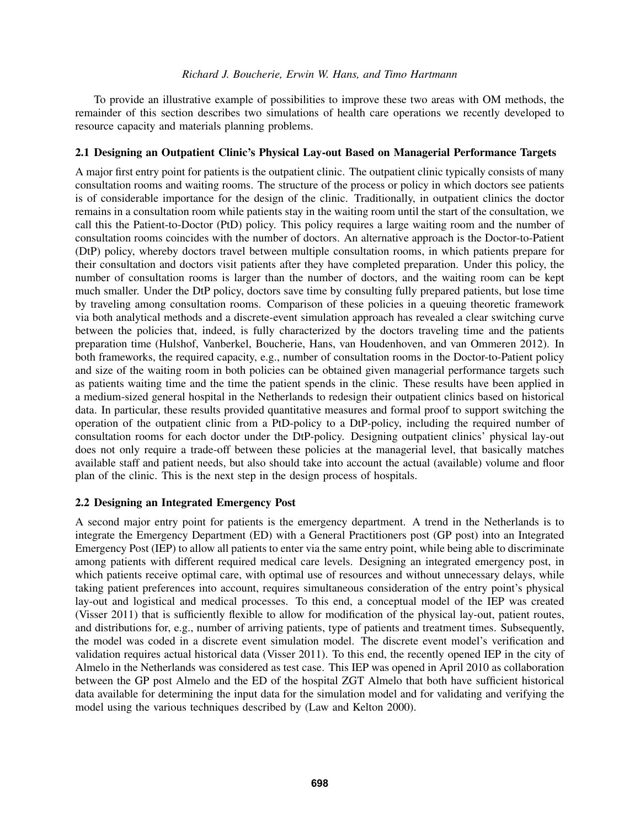To provide an illustrative example of possibilities to improve these two areas with OM methods, the remainder of this section describes two simulations of health care operations we recently developed to resource capacity and materials planning problems.

### 2.1 Designing an Outpatient Clinic's Physical Lay-out Based on Managerial Performance Targets

A major first entry point for patients is the outpatient clinic. The outpatient clinic typically consists of many consultation rooms and waiting rooms. The structure of the process or policy in which doctors see patients is of considerable importance for the design of the clinic. Traditionally, in outpatient clinics the doctor remains in a consultation room while patients stay in the waiting room until the start of the consultation, we call this the Patient-to-Doctor (PtD) policy. This policy requires a large waiting room and the number of consultation rooms coincides with the number of doctors. An alternative approach is the Doctor-to-Patient (DtP) policy, whereby doctors travel between multiple consultation rooms, in which patients prepare for their consultation and doctors visit patients after they have completed preparation. Under this policy, the number of consultation rooms is larger than the number of doctors, and the waiting room can be kept much smaller. Under the DtP policy, doctors save time by consulting fully prepared patients, but lose time by traveling among consultation rooms. Comparison of these policies in a queuing theoretic framework via both analytical methods and a discrete-event simulation approach has revealed a clear switching curve between the policies that, indeed, is fully characterized by the doctors traveling time and the patients preparation time (Hulshof, Vanberkel, Boucherie, Hans, van Houdenhoven, and van Ommeren 2012). In both frameworks, the required capacity, e.g., number of consultation rooms in the Doctor-to-Patient policy and size of the waiting room in both policies can be obtained given managerial performance targets such as patients waiting time and the time the patient spends in the clinic. These results have been applied in a medium-sized general hospital in the Netherlands to redesign their outpatient clinics based on historical data. In particular, these results provided quantitative measures and formal proof to support switching the operation of the outpatient clinic from a PtD-policy to a DtP-policy, including the required number of consultation rooms for each doctor under the DtP-policy. Designing outpatient clinics' physical lay-out does not only require a trade-off between these policies at the managerial level, that basically matches available staff and patient needs, but also should take into account the actual (available) volume and floor plan of the clinic. This is the next step in the design process of hospitals.

### 2.2 Designing an Integrated Emergency Post

A second major entry point for patients is the emergency department. A trend in the Netherlands is to integrate the Emergency Department (ED) with a General Practitioners post (GP post) into an Integrated Emergency Post (IEP) to allow all patients to enter via the same entry point, while being able to discriminate among patients with different required medical care levels. Designing an integrated emergency post, in which patients receive optimal care, with optimal use of resources and without unnecessary delays, while taking patient preferences into account, requires simultaneous consideration of the entry point's physical lay-out and logistical and medical processes. To this end, a conceptual model of the IEP was created (Visser 2011) that is sufficiently flexible to allow for modification of the physical lay-out, patient routes, and distributions for, e.g., number of arriving patients, type of patients and treatment times. Subsequently, the model was coded in a discrete event simulation model. The discrete event model's verification and validation requires actual historical data (Visser 2011). To this end, the recently opened IEP in the city of Almelo in the Netherlands was considered as test case. This IEP was opened in April 2010 as collaboration between the GP post Almelo and the ED of the hospital ZGT Almelo that both have sufficient historical data available for determining the input data for the simulation model and for validating and verifying the model using the various techniques described by (Law and Kelton 2000).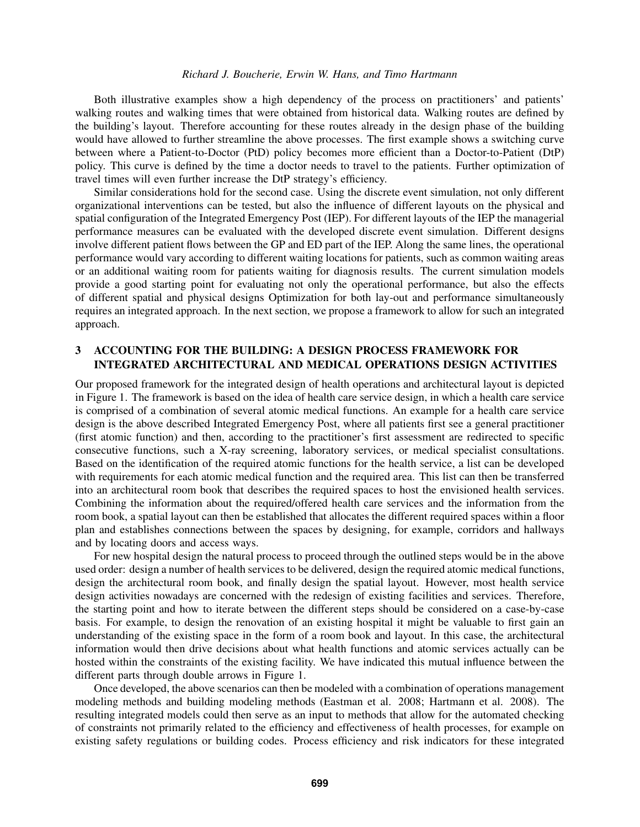Both illustrative examples show a high dependency of the process on practitioners' and patients' walking routes and walking times that were obtained from historical data. Walking routes are defined by the building's layout. Therefore accounting for these routes already in the design phase of the building would have allowed to further streamline the above processes. The first example shows a switching curve between where a Patient-to-Doctor (PtD) policy becomes more efficient than a Doctor-to-Patient (DtP) policy. This curve is defined by the time a doctor needs to travel to the patients. Further optimization of travel times will even further increase the DtP strategy's efficiency.

Similar considerations hold for the second case. Using the discrete event simulation, not only different organizational interventions can be tested, but also the influence of different layouts on the physical and spatial configuration of the Integrated Emergency Post (IEP). For different layouts of the IEP the managerial performance measures can be evaluated with the developed discrete event simulation. Different designs involve different patient flows between the GP and ED part of the IEP. Along the same lines, the operational performance would vary according to different waiting locations for patients, such as common waiting areas or an additional waiting room for patients waiting for diagnosis results. The current simulation models provide a good starting point for evaluating not only the operational performance, but also the effects of different spatial and physical designs Optimization for both lay-out and performance simultaneously requires an integrated approach. In the next section, we propose a framework to allow for such an integrated approach.

# 3 ACCOUNTING FOR THE BUILDING: A DESIGN PROCESS FRAMEWORK FOR INTEGRATED ARCHITECTURAL AND MEDICAL OPERATIONS DESIGN ACTIVITIES

Our proposed framework for the integrated design of health operations and architectural layout is depicted in Figure 1. The framework is based on the idea of health care service design, in which a health care service is comprised of a combination of several atomic medical functions. An example for a health care service design is the above described Integrated Emergency Post, where all patients first see a general practitioner (first atomic function) and then, according to the practitioner's first assessment are redirected to specific consecutive functions, such a X-ray screening, laboratory services, or medical specialist consultations. Based on the identification of the required atomic functions for the health service, a list can be developed with requirements for each atomic medical function and the required area. This list can then be transferred into an architectural room book that describes the required spaces to host the envisioned health services. Combining the information about the required/offered health care services and the information from the room book, a spatial layout can then be established that allocates the different required spaces within a floor plan and establishes connections between the spaces by designing, for example, corridors and hallways and by locating doors and access ways.

For new hospital design the natural process to proceed through the outlined steps would be in the above used order: design a number of health services to be delivered, design the required atomic medical functions, design the architectural room book, and finally design the spatial layout. However, most health service design activities nowadays are concerned with the redesign of existing facilities and services. Therefore, the starting point and how to iterate between the different steps should be considered on a case-by-case basis. For example, to design the renovation of an existing hospital it might be valuable to first gain an understanding of the existing space in the form of a room book and layout. In this case, the architectural information would then drive decisions about what health functions and atomic services actually can be hosted within the constraints of the existing facility. We have indicated this mutual influence between the different parts through double arrows in Figure 1.

Once developed, the above scenarios can then be modeled with a combination of operations management modeling methods and building modeling methods (Eastman et al. 2008; Hartmann et al. 2008). The resulting integrated models could then serve as an input to methods that allow for the automated checking of constraints not primarily related to the efficiency and effectiveness of health processes, for example on existing safety regulations or building codes. Process efficiency and risk indicators for these integrated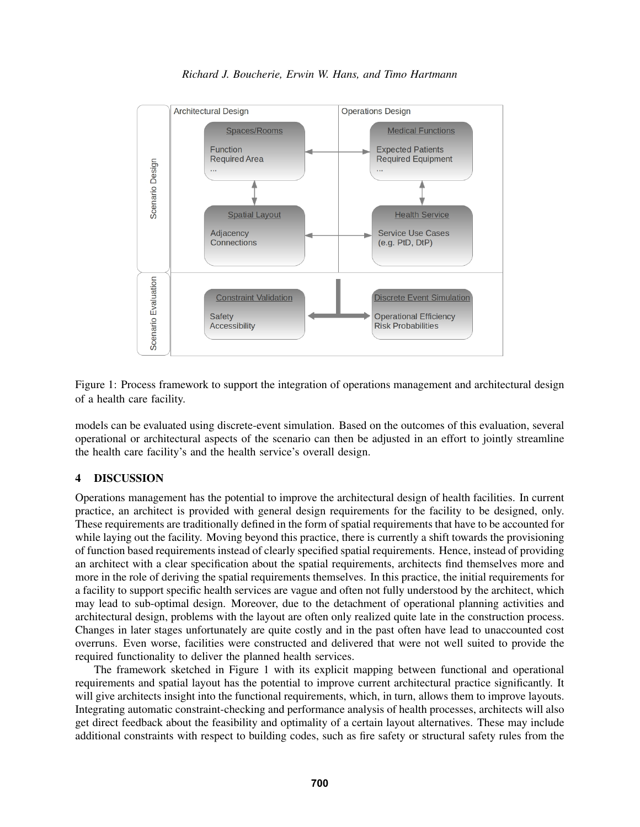



Figure 1: Process framework to support the integration of operations management and architectural design of a health care facility.

models can be evaluated using discrete-event simulation. Based on the outcomes of this evaluation, several operational or architectural aspects of the scenario can then be adjusted in an effort to jointly streamline the health care facility's and the health service's overall design.

## 4 DISCUSSION

Operations management has the potential to improve the architectural design of health facilities. In current practice, an architect is provided with general design requirements for the facility to be designed, only. These requirements are traditionally defined in the form of spatial requirements that have to be accounted for while laying out the facility. Moving beyond this practice, there is currently a shift towards the provisioning of function based requirements instead of clearly specified spatial requirements. Hence, instead of providing an architect with a clear specification about the spatial requirements, architects find themselves more and more in the role of deriving the spatial requirements themselves. In this practice, the initial requirements for a facility to support specific health services are vague and often not fully understood by the architect, which may lead to sub-optimal design. Moreover, due to the detachment of operational planning activities and architectural design, problems with the layout are often only realized quite late in the construction process. Changes in later stages unfortunately are quite costly and in the past often have lead to unaccounted cost overruns. Even worse, facilities were constructed and delivered that were not well suited to provide the required functionality to deliver the planned health services.

The framework sketched in Figure 1 with its explicit mapping between functional and operational requirements and spatial layout has the potential to improve current architectural practice significantly. It will give architects insight into the functional requirements, which, in turn, allows them to improve layouts. Integrating automatic constraint-checking and performance analysis of health processes, architects will also get direct feedback about the feasibility and optimality of a certain layout alternatives. These may include additional constraints with respect to building codes, such as fire safety or structural safety rules from the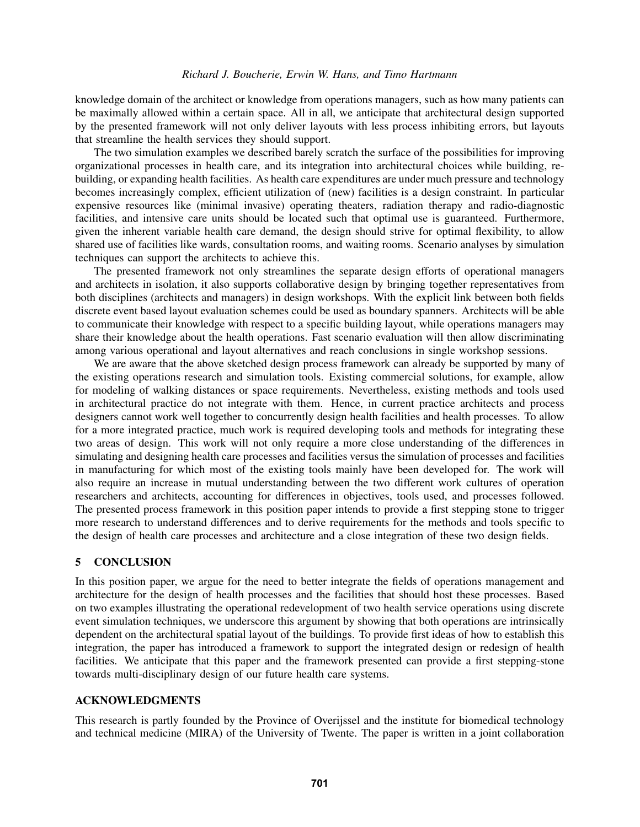knowledge domain of the architect or knowledge from operations managers, such as how many patients can be maximally allowed within a certain space. All in all, we anticipate that architectural design supported by the presented framework will not only deliver layouts with less process inhibiting errors, but layouts that streamline the health services they should support.

The two simulation examples we described barely scratch the surface of the possibilities for improving organizational processes in health care, and its integration into architectural choices while building, rebuilding, or expanding health facilities. As health care expenditures are under much pressure and technology becomes increasingly complex, efficient utilization of (new) facilities is a design constraint. In particular expensive resources like (minimal invasive) operating theaters, radiation therapy and radio-diagnostic facilities, and intensive care units should be located such that optimal use is guaranteed. Furthermore, given the inherent variable health care demand, the design should strive for optimal flexibility, to allow shared use of facilities like wards, consultation rooms, and waiting rooms. Scenario analyses by simulation techniques can support the architects to achieve this.

The presented framework not only streamlines the separate design efforts of operational managers and architects in isolation, it also supports collaborative design by bringing together representatives from both disciplines (architects and managers) in design workshops. With the explicit link between both fields discrete event based layout evaluation schemes could be used as boundary spanners. Architects will be able to communicate their knowledge with respect to a specific building layout, while operations managers may share their knowledge about the health operations. Fast scenario evaluation will then allow discriminating among various operational and layout alternatives and reach conclusions in single workshop sessions.

We are aware that the above sketched design process framework can already be supported by many of the existing operations research and simulation tools. Existing commercial solutions, for example, allow for modeling of walking distances or space requirements. Nevertheless, existing methods and tools used in architectural practice do not integrate with them. Hence, in current practice architects and process designers cannot work well together to concurrently design health facilities and health processes. To allow for a more integrated practice, much work is required developing tools and methods for integrating these two areas of design. This work will not only require a more close understanding of the differences in simulating and designing health care processes and facilities versus the simulation of processes and facilities in manufacturing for which most of the existing tools mainly have been developed for. The work will also require an increase in mutual understanding between the two different work cultures of operation researchers and architects, accounting for differences in objectives, tools used, and processes followed. The presented process framework in this position paper intends to provide a first stepping stone to trigger more research to understand differences and to derive requirements for the methods and tools specific to the design of health care processes and architecture and a close integration of these two design fields.

## 5 CONCLUSION

In this position paper, we argue for the need to better integrate the fields of operations management and architecture for the design of health processes and the facilities that should host these processes. Based on two examples illustrating the operational redevelopment of two health service operations using discrete event simulation techniques, we underscore this argument by showing that both operations are intrinsically dependent on the architectural spatial layout of the buildings. To provide first ideas of how to establish this integration, the paper has introduced a framework to support the integrated design or redesign of health facilities. We anticipate that this paper and the framework presented can provide a first stepping-stone towards multi-disciplinary design of our future health care systems.

# ACKNOWLEDGMENTS

This research is partly founded by the Province of Overijssel and the institute for biomedical technology and technical medicine (MIRA) of the University of Twente. The paper is written in a joint collaboration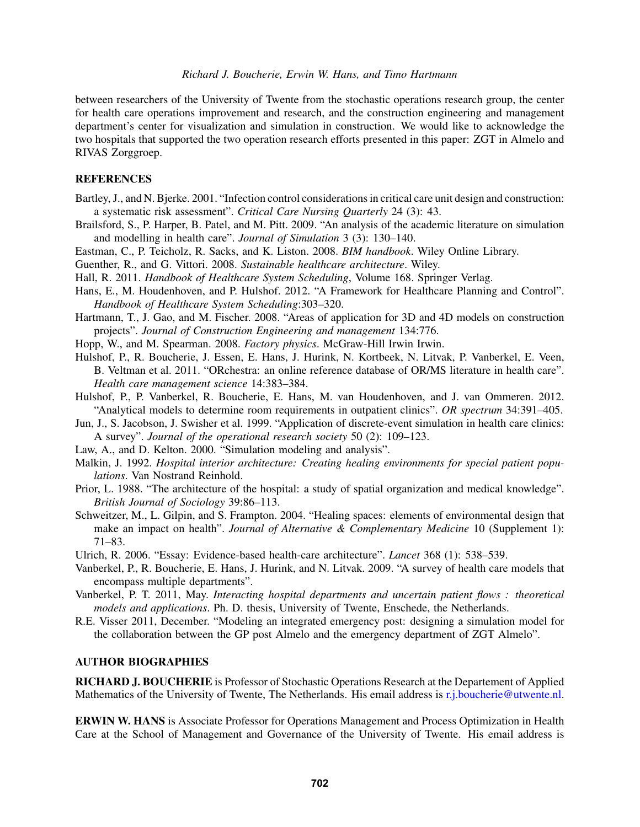between researchers of the University of Twente from the stochastic operations research group, the center for health care operations improvement and research, and the construction engineering and management department's center for visualization and simulation in construction. We would like to acknowledge the two hospitals that supported the two operation research efforts presented in this paper: ZGT in Almelo and RIVAS Zorggroep.

# **REFERENCES**

- Bartley, J., and N. Bjerke. 2001. "Infection control considerations in critical care unit design and construction: a systematic risk assessment". *Critical Care Nursing Quarterly* 24 (3): 43.
- Brailsford, S., P. Harper, B. Patel, and M. Pitt. 2009. "An analysis of the academic literature on simulation and modelling in health care". *Journal of Simulation* 3 (3): 130–140.
- Eastman, C., P. Teicholz, R. Sacks, and K. Liston. 2008. *BIM handbook*. Wiley Online Library.
- Guenther, R., and G. Vittori. 2008. *Sustainable healthcare architecture*. Wiley.
- Hall, R. 2011. *Handbook of Healthcare System Scheduling*, Volume 168. Springer Verlag.
- Hans, E., M. Houdenhoven, and P. Hulshof. 2012. "A Framework for Healthcare Planning and Control". *Handbook of Healthcare System Scheduling*:303–320.
- Hartmann, T., J. Gao, and M. Fischer. 2008. "Areas of application for 3D and 4D models on construction projects". *Journal of Construction Engineering and management* 134:776.
- Hopp, W., and M. Spearman. 2008. *Factory physics*. McGraw-Hill Irwin Irwin.
- Hulshof, P., R. Boucherie, J. Essen, E. Hans, J. Hurink, N. Kortbeek, N. Litvak, P. Vanberkel, E. Veen, B. Veltman et al. 2011. "ORchestra: an online reference database of OR/MS literature in health care". *Health care management science* 14:383–384.
- Hulshof, P., P. Vanberkel, R. Boucherie, E. Hans, M. van Houdenhoven, and J. van Ommeren. 2012. "Analytical models to determine room requirements in outpatient clinics". *OR spectrum* 34:391–405.
- Jun, J., S. Jacobson, J. Swisher et al. 1999. "Application of discrete-event simulation in health care clinics: A survey". *Journal of the operational research society* 50 (2): 109–123.
- Law, A., and D. Kelton. 2000. "Simulation modeling and analysis".
- Malkin, J. 1992. *Hospital interior architecture: Creating healing environments for special patient populations*. Van Nostrand Reinhold.
- Prior, L. 1988. "The architecture of the hospital: a study of spatial organization and medical knowledge". *British Journal of Sociology* 39:86–113.
- Schweitzer, M., L. Gilpin, and S. Frampton. 2004. "Healing spaces: elements of environmental design that make an impact on health". *Journal of Alternative & Complementary Medicine* 10 (Supplement 1): 71–83.
- Ulrich, R. 2006. "Essay: Evidence-based health-care architecture". *Lancet* 368 (1): 538–539.
- Vanberkel, P., R. Boucherie, E. Hans, J. Hurink, and N. Litvak. 2009. "A survey of health care models that encompass multiple departments".
- Vanberkel, P. T. 2011, May. *Interacting hospital departments and uncertain patient flows : theoretical models and applications*. Ph. D. thesis, University of Twente, Enschede, the Netherlands.
- R.E. Visser 2011, December. "Modeling an integrated emergency post: designing a simulation model for the collaboration between the GP post Almelo and the emergency department of ZGT Almelo".

### AUTHOR BIOGRAPHIES

RICHARD J. BOUCHERIE is Professor of Stochastic Operations Research at the Departement of Applied Mathematics of the University of Twente, The Netherlands. His email address is r.j.boucherie@utwente.nl.

ERWIN W. HANS is Associate Professor for Operations Management and Process Optimization in Health Care at the School of Management and Governance of the University of Twente. His email address is